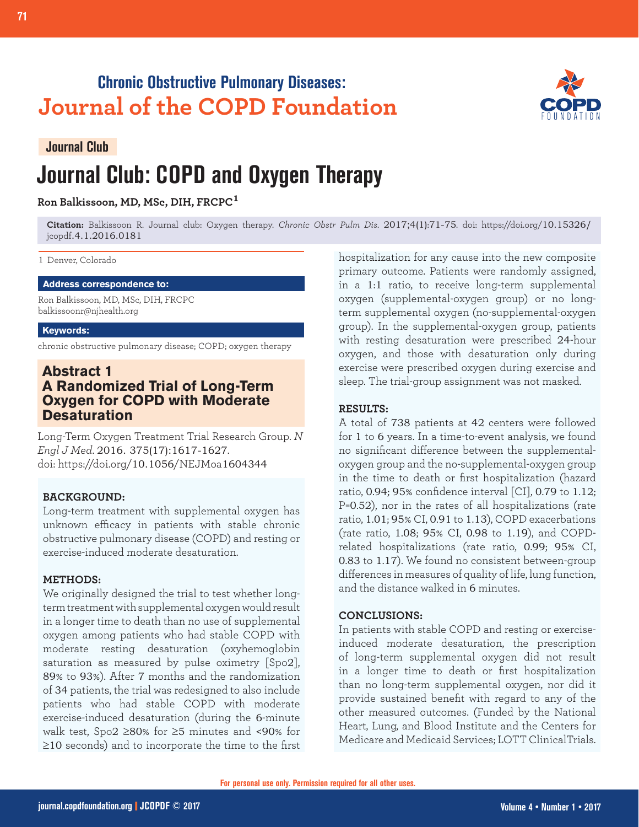## **Chronic Obstructive Pulmonary Diseases: Journal of the COPD Foundation**



## **Journal Club**

# **Journal Club: COPD and Oxygen Therapy**

## **Ron Balkissoon, MD, MSc, DIH, FRCPC<sup>1</sup>**

**Citation:** Balkissoon R. Journal club: Oxygen therapy. *Chronic Obstr Pulm Dis*. 2017;4(1):71-75. doi: https://doi.org/10.15326/ jcopdf.4.1.2016.0181

#### 1 Denver, Colorado

#### **Address correspondence to:**

Ron Balkissoon, MD, MSc, DIH, FRCPC balkissoonr@njhealth.org

#### **Keywords:**

chronic obstructive pulmonary disease; COPD; oxygen therapy

## **Abstract 1 A Randomized Trial of Long-Term Oxygen for COPD with Moderate Desaturation**

Long-Term Oxygen Treatment Trial Research Group. *N Engl J Med*. 2016. 375(17):1617-1627. doi: https://doi.org/10.1056/NEJMoa1604344

#### **BACKGROUND:**

Long-term treatment with supplemental oxygen has unknown efficacy in patients with stable chronic obstructive pulmonary disease (COPD) and resting or exercise-induced moderate desaturation.

### **METHODS:**

We originally designed the trial to test whether longterm treatment with supplemental oxygen would result in a longer time to death than no use of supplemental oxygen among patients who had stable COPD with moderate resting desaturation (oxyhemoglobin saturation as measured by pulse oximetry [Spo2], 89% to 93%). After 7 months and the randomization of 34 patients, the trial was redesigned to also include patients who had stable COPD with moderate exercise-induced desaturation (during the 6-minute walk test, Spo2 ≥80% for ≥5 minutes and <90% for ≥10 seconds) and to incorporate the time to the first hospitalization for any cause into the new composite primary outcome. Patients were randomly assigned, in a 1:1 ratio, to receive long-term supplemental oxygen (supplemental-oxygen group) or no longterm supplemental oxygen (no-supplemental-oxygen group). In the supplemental-oxygen group, patients with resting desaturation were prescribed 24-hour oxygen, and those with desaturation only during exercise were prescribed oxygen during exercise and sleep. The trial-group assignment was not masked.

## **RESULTS:**

A total of 738 patients at 42 centers were followed for 1 to 6 years. In a time-to-event analysis, we found no significant difference between the supplementaloxygen group and the no-supplemental-oxygen group in the time to death or first hospitalization (hazard ratio, 0.94; 95% confidence interval [CI], 0.79 to 1.12; P=0.52), nor in the rates of all hospitalizations (rate ratio, 1.01; 95% CI, 0.91 to 1.13), COPD exacerbations (rate ratio, 1.08; 95% CI, 0.98 to 1.19), and COPDrelated hospitalizations (rate ratio, 0.99; 95% CI, 0.83 to 1.17). We found no consistent between-group differences in measures of quality of life, lung function, and the distance walked in 6 minutes.

#### **CONCLUSIONS:**

In patients with stable COPD and resting or exerciseinduced moderate desaturation, the prescription of long-term supplemental oxygen did not result in a longer time to death or first hospitalization than no long-term supplemental oxygen, nor did it provide sustained benefit with regard to any of the other measured outcomes. (Funded by the National Heart, Lung, and Blood Institute and the Centers for Medicare and Medicaid Services; LOTT ClinicalTrials.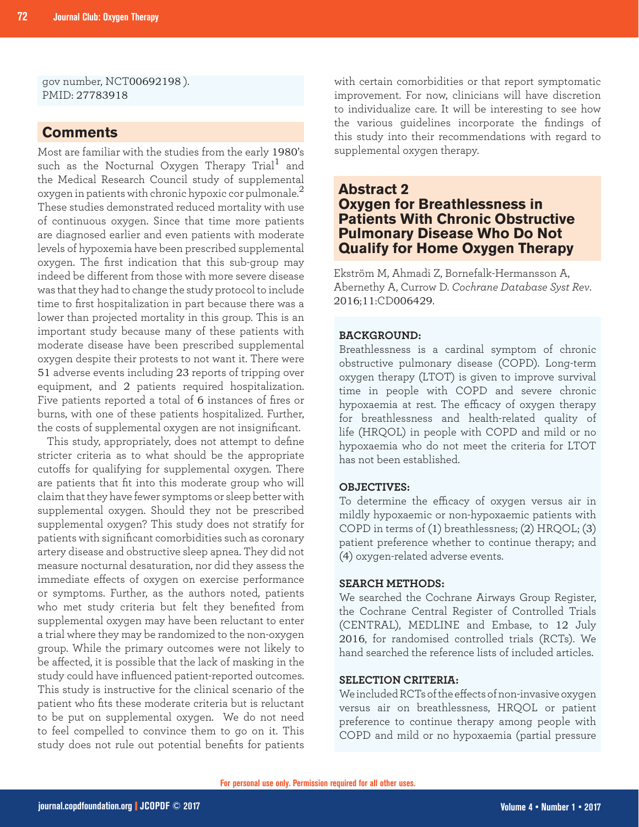gov number, NCT00692198 ). PMID: 27783918

## **Comments**

Most are familiar with the studies from the early 1980's such as the Nocturnal Oxygen Therapy Trial<sup>1</sup> and the Medical Research Council study of supplemental oxygen in patients with chronic hypoxic cor pulmonale. $^2$ These studies demonstrated reduced mortality with use of continuous oxygen. Since that time more patients are diagnosed earlier and even patients with moderate levels of hypoxemia have been prescribed supplemental oxygen. The first indication that this sub-group may indeed be different from those with more severe disease was that they had to change the study protocol to include time to first hospitalization in part because there was a lower than projected mortality in this group. This is an important study because many of these patients with moderate disease have been prescribed supplemental oxygen despite their protests to not want it. There were 51 adverse events including 23 reports of tripping over equipment, and 2 patients required hospitalization. Five patients reported a total of 6 instances of fires or burns, with one of these patients hospitalized. Further, the costs of supplemental oxygen are not insignificant.

This study, appropriately, does not attempt to define stricter criteria as to what should be the appropriate cutoffs for qualifying for supplemental oxygen. There are patients that fit into this moderate group who will claim that they have fewer symptoms or sleep better with supplemental oxygen. Should they not be prescribed supplemental oxygen? This study does not stratify for patients with significant comorbidities such as coronary artery disease and obstructive sleep apnea. They did not measure nocturnal desaturation, nor did they assess the immediate effects of oxygen on exercise performance or symptoms. Further, as the authors noted, patients who met study criteria but felt they benefited from supplemental oxygen may have been reluctant to enter a trial where they may be randomized to the non-oxygen group. While the primary outcomes were not likely to be affected, it is possible that the lack of masking in the study could have influenced patient-reported outcomes. This study is instructive for the clinical scenario of the patient who fits these moderate criteria but is reluctant to be put on supplemental oxygen. We do not need to feel compelled to convince them to go on it. This study does not rule out potential benefits for patients

with certain comorbidities or that report symptomatic improvement. For now, clinicians will have discretion to individualize care. It will be interesting to see how the various guidelines incorporate the findings of this study into their recommendations with regard to supplemental oxygen therapy.

## **Abstract 2 Oxygen for Breathlessness in Patients With Chronic Obstructive Pulmonary Disease Who Do Not Qualify for Home Oxygen Therapy**

Ekström M, Ahmadi Z, Bornefalk-Hermansson A, Abernethy A, Currow D. *Cochrane Database Syst Rev*. 2016;11:CD006429.

## **BACKGROUND:**

Breathlessness is a cardinal symptom of chronic obstructive pulmonary disease (COPD). Long-term oxygen therapy (LTOT) is given to improve survival time in people with COPD and severe chronic hypoxaemia at rest. The efficacy of oxygen therapy for breathlessness and health-related quality of life (HRQOL) in people with COPD and mild or no hypoxaemia who do not meet the criteria for LTOT has not been established.

#### **OBJECTIVES:**

To determine the efficacy of oxygen versus air in mildly hypoxaemic or non-hypoxaemic patients with COPD in terms of (1) breathlessness; (2) HRQOL; (3) patient preference whether to continue therapy; and (4) oxygen-related adverse events.

## **SEARCH METHODS:**

We searched the Cochrane Airways Group Register, the Cochrane Central Register of Controlled Trials (CENTRAL), MEDLINE and Embase, to 12 July 2016, for randomised controlled trials (RCTs). We hand searched the reference lists of included articles.

## **SELECTION CRITERIA:**

We included RCTs of the effects of non-invasive oxygen versus air on breathlessness, HRQOL or patient preference to continue therapy among people with COPD and mild or no hypoxaemia (partial pressure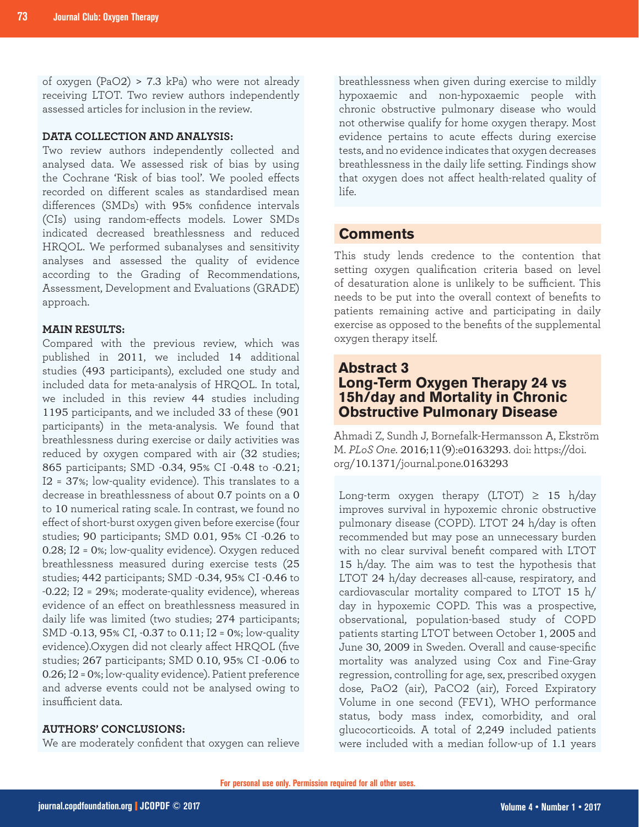of oxygen (PaO2) > 7.3 kPa) who were not already receiving LTOT. Two review authors independently assessed articles for inclusion in the review.

#### **DATA COLLECTION AND ANALYSIS:**

Two review authors independently collected and analysed data. We assessed risk of bias by using the Cochrane 'Risk of bias tool'. We pooled effects recorded on different scales as standardised mean differences (SMDs) with 95% confidence intervals (CIs) using random-effects models. Lower SMDs indicated decreased breathlessness and reduced HRQOL. We performed subanalyses and sensitivity analyses and assessed the quality of evidence according to the Grading of Recommendations, Assessment, Development and Evaluations (GRADE) approach.

#### **MAIN RESULTS:**

Compared with the previous review, which was published in 2011, we included 14 additional studies (493 participants), excluded one study and included data for meta-analysis of HRQOL. In total, we included in this review 44 studies including 1195 participants, and we included 33 of these (901 participants) in the meta-analysis. We found that breathlessness during exercise or daily activities was reduced by oxygen compared with air (32 studies; 865 participants; SMD -0.34, 95% CI -0.48 to -0.21; I2 = 37%; low-quality evidence). This translates to a decrease in breathlessness of about 0.7 points on a 0 to 10 numerical rating scale. In contrast, we found no effect of short-burst oxygen given before exercise (four studies; 90 participants; SMD 0.01, 95% CI -0.26 to 0.28; I2 = 0%; low-quality evidence). Oxygen reduced breathlessness measured during exercise tests (25 studies; 442 participants; SMD -0.34, 95% CI -0.46 to -0.22; I2 = 29%; moderate-quality evidence), whereas evidence of an effect on breathlessness measured in daily life was limited (two studies; 274 participants; SMD -0.13, 95% CI, -0.37 to 0.11; I2 = 0%; low-quality evidence).Oxygen did not clearly affect HRQOL (five studies; 267 participants; SMD 0.10, 95% CI -0.06 to 0.26; I2 = 0%; low-quality evidence). Patient preference and adverse events could not be analysed owing to insufficient data.

## **AUTHORS' CONCLUSIONS:**

We are moderately confident that oxygen can relieve

breathlessness when given during exercise to mildly hypoxaemic and non-hypoxaemic people with chronic obstructive pulmonary disease who would not otherwise qualify for home oxygen therapy. Most evidence pertains to acute effects during exercise tests, and no evidence indicates that oxygen decreases breathlessness in the daily life setting. Findings show that oxygen does not affect health-related quality of life.

## **Comments**

This study lends credence to the contention that setting oxygen qualification criteria based on level of desaturation alone is unlikely to be sufficient. This needs to be put into the overall context of benefits to patients remaining active and participating in daily exercise as opposed to the benefits of the supplemental oxygen therapy itself.

## **Abstract 3 Long-Term Oxygen Therapy 24 vs 15h/day and Mortality in Chronic Obstructive Pulmonary Disease**

Ahmadi Z, Sundh J, Bornefalk-Hermansson A, Ekström M. *PLoS One.* 2016;11(9):e0163293. doi: https://doi. org/10.1371/journal.pone.0163293

Long-term oxygen therapy (LTOT)  $\geq$  15 h/day improves survival in hypoxemic chronic obstructive pulmonary disease (COPD). LTOT 24 h/day is often recommended but may pose an unnecessary burden with no clear survival benefit compared with LTOT 15 h/day. The aim was to test the hypothesis that LTOT 24 h/day decreases all-cause, respiratory, and cardiovascular mortality compared to LTOT 15 h/ day in hypoxemic COPD. This was a prospective, observational, population-based study of COPD patients starting LTOT between October 1, 2005 and June 30, 2009 in Sweden. Overall and cause-specific mortality was analyzed using Cox and Fine-Gray regression, controlling for age, sex, prescribed oxygen dose, PaO2 (air), PaCO2 (air), Forced Expiratory Volume in one second (FEV1), WHO performance status, body mass index, comorbidity, and oral glucocorticoids. A total of 2,249 included patients were included with a median follow-up of 1.1 years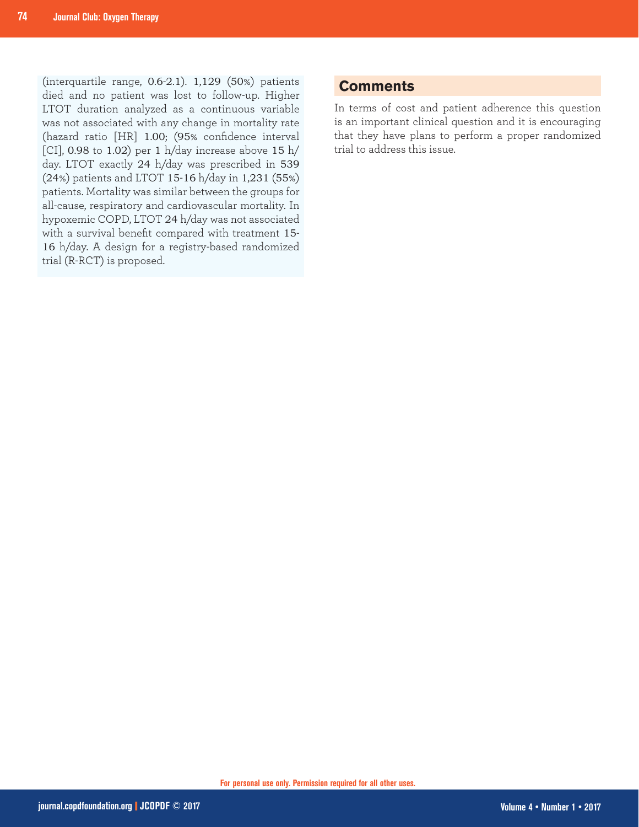(interquartile range, 0.6-2.1). 1,129 (50%) patients died and no patient was lost to follow-up. Higher LTOT duration analyzed as a continuous variable was not associated with any change in mortality rate (hazard ratio [HR] 1.00; (95% confidence interval [CI],  $0.98$  to 1.02) per 1 h/day increase above 15 h/ day. LTOT exactly 24 h/day was prescribed in 539 (24%) patients and LTOT 15-16 h/day in 1,231 (55%) patients. Mortality was similar between the groups for all-cause, respiratory and cardiovascular mortality. In hypoxemic COPD, LTOT 24 h/day was not associated with a survival benefit compared with treatment 15- 16 h/day. A design for a registry-based randomized trial (R-RCT) is proposed.

## **Comments**

In terms of cost and patient adherence this question is an important clinical question and it is encouraging that they have plans to perform a proper randomized trial to address this issue.